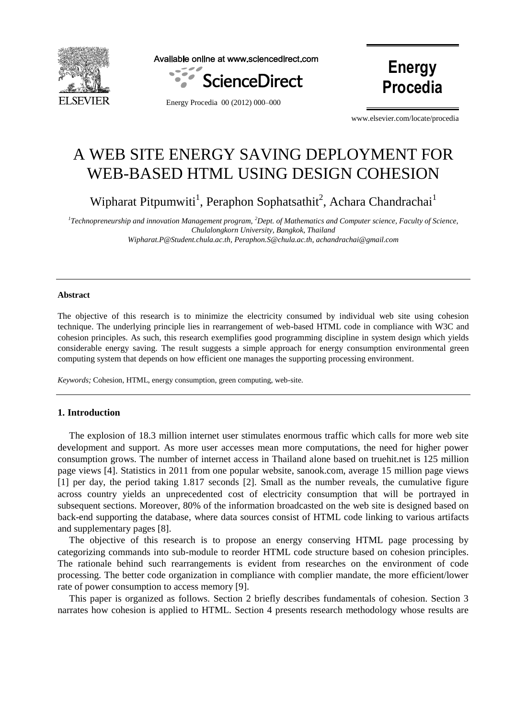

Available online at www.sciencedirect.com





Energy Procedia 00 (2012) 000–000

www.elsevier.com/locate/procedia

# A WEB SITE ENERGY SAVING DEPLOYMENT FOR WEB-BASED HTML USING DESIGN COHESION

Wipharat Pitpumwiti<sup>1</sup>, Peraphon Sophatsathit<sup>2</sup>, Achara Chandrachai<sup>1</sup>

*1 Technopreneurship and innovation Management program, <sup>2</sup>Dept. of Mathematics and Computer science, Faculty of Science, Chulalongkorn University, Bangkok, Thailand Wipharat.P@Student.chula.ac.th, Peraphon.S@chula.ac.th, achandrachai@gmail.com*

#### **Abstract**

The objective of this research is to minimize the electricity consumed by individual web site using cohesion technique. The underlying principle lies in rearrangement of web-based HTML code in compliance with W3C and cohesion principles. As such, this research exemplifies good programming discipline in system design which yields considerable energy saving. The result suggests a simple approach for energy consumption environmental green computing system that depends on how efficient one manages the supporting processing environment.

*Keywords;* Cohesion, HTML, energy consumption, green computing, web-site.

#### **1. Introduction**

The explosion of 18.3 million internet user stimulates enormous traffic which calls for more web site development and support. As more user accesses mean more computations, the need for higher power consumption grows. The number of internet access in Thailand alone based on truehit.net is 125 million page views [4]. Statistics in 2011 from one popular website, sanook.com, average 15 million page views [1] per day, the period taking 1.817 seconds [2]. Small as the number reveals, the cumulative figure across country yields an unprecedented cost of electricity consumption that will be portrayed in subsequent sections. Moreover, 80% of the information broadcasted on the web site is designed based on back-end supporting the database, where data sources consist of HTML code linking to various artifacts and supplementary pages [8].

The objective of this research is to propose an energy conserving HTML page processing by categorizing commands into sub-module to reorder HTML code structure based on cohesion principles. The rationale behind such rearrangements is evident from researches on the environment of code processing. The better code organization in compliance with complier mandate, the more efficient/lower rate of power consumption to access memory [9].

This paper is organized as follows. Section 2 briefly describes fundamentals of cohesion. Section 3 narrates how cohesion is applied to HTML. Section 4 presents research methodology whose results are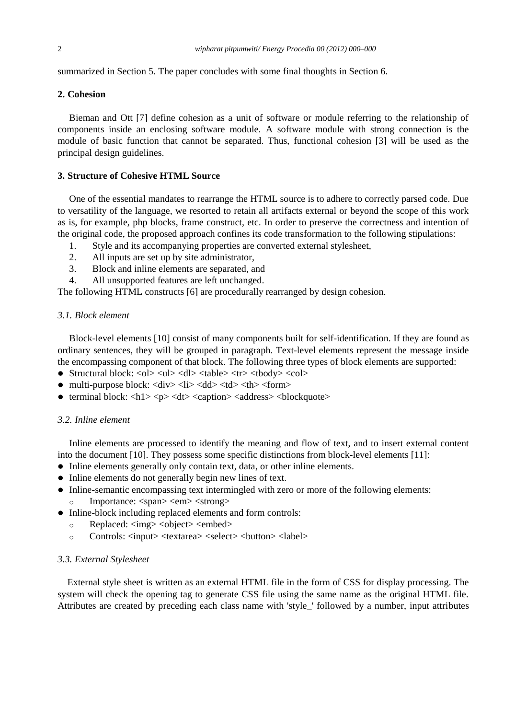summarized in Section 5. The paper concludes with some final thoughts in Section 6.

## **2. Cohesion**

Bieman and Ott [7] define cohesion as a unit of software or module referring to the relationship of components inside an enclosing software module. A software module with strong connection is the module of basic function that cannot be separated. Thus, functional cohesion [3] will be used as the principal design guidelines.

#### **3. Structure of Cohesive HTML Source**

One of the essential mandates to rearrange the HTML source is to adhere to correctly parsed code. Due to versatility of the language, we resorted to retain all artifacts external or beyond the scope of this work as is, for example, php blocks, frame construct, etc. In order to preserve the correctness and intention of the original code, the proposed approach confines its code transformation to the following stipulations:

- 1. Style and its accompanying properties are converted external stylesheet,
- 2. All inputs are set up by site administrator,
- 3. Block and inline elements are separated, and
- 4. All unsupported features are left unchanged.

The following HTML constructs [6] are procedurally rearranged by design cohesion.

## *3.1. Block element*

Block-level elements [10] consist of many components built for self-identification. If they are found as ordinary sentences, they will be grouped in paragraph. Text-level elements represent the message inside the encompassing component of that block. The following three types of block elements are supported:

- Structural block: <ol> <ul> <dl> <dl> <table> <tr> <tbody> <col>
- multi-purpose block:  $\langle \text{div} \rangle \langle \text{div} \rangle \langle \text{div} \rangle \langle \text{div} \rangle \langle \text{div} \rangle \langle \text{div} \rangle$
- terminal block:  $\langle h1 \rangle \langle p \rangle \langle dt \rangle \langle \langle \rangle$  caption $\rangle \langle \rangle$  address $\rangle \langle \rangle$ blockquote $\rangle$

## *3.2. Inline element*

Inline elements are processed to identify the meaning and flow of text, and to insert external content into the document [10]. They possess some specific distinctions from block-level elements [11]:

- Inline elements generally only contain text, data, or other inline elements.
- Inline elements do not generally begin new lines of text.
- Inline-semantic encompassing text intermingled with zero or more of the following elements:
	- o Importance: <span> <em> <strong>
- Inline-block including replaced elements and form controls:
	- o Replaced: <img> <object> <embed>
	- o Controls: <input> <textarea> <select> <button> <label>

## *3.3. External Stylesheet*

External style sheet is written as an external HTML file in the form of CSS for display processing. The system will check the opening tag to generate CSS file using the same name as the original HTML file. Attributes are created by preceding each class name with 'style\_' followed by a number, input attributes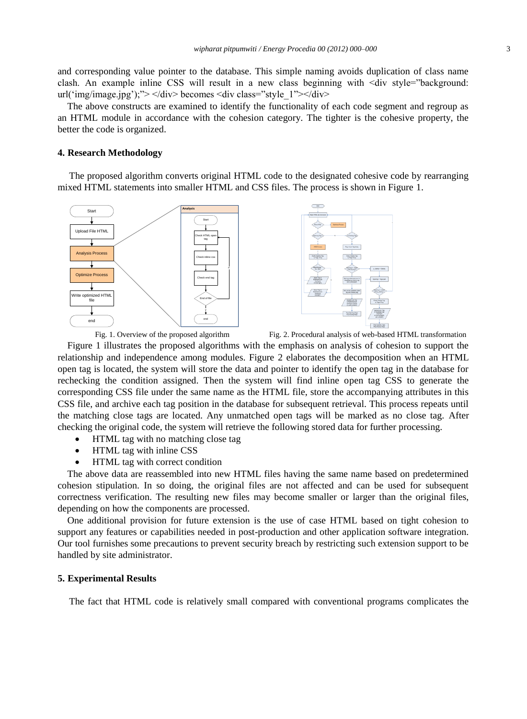and corresponding value pointer to the database. This simple naming avoids duplication of class name clash. An example inline CSS will result in a new class beginning with  $\langle \text{div } s \rangle = \text{div } s \rangle$ url('img/image.jpg');"> </div> becomes <div class="style\_1"></div>

The above constructs are examined to identify the functionality of each code segment and regroup as an HTML module in accordance with the cohesion category. The tighter is the cohesive property, the better the code is organized.

### **4. Research Methodology**

The proposed algorithm converts original HTML code to the designated cohesive code by rearranging mixed HTML statements into smaller HTML and CSS files. The process is shown in Figure 1.





Fig. 1. Overview of the proposed algorithm Fig. 2. Procedural analysis of web-based HTML transformation

Figure 1 illustrates the proposed algorithms with the emphasis on analysis of cohesion to support the relationship and independence among modules. Figure 2 elaborates the decomposition when an HTML open tag is located, the system will store the data and pointer to identify the open tag in the database for rechecking the condition assigned. Then the system will find inline open tag CSS to generate the corresponding CSS file under the same name as the HTML file, store the accompanying attributes in this CSS file, and archive each tag position in the database for subsequent retrieval. This process repeats until the matching close tags are located. Any unmatched open tags will be marked as no close tag. After checking the original code, the system will retrieve the following stored data for further processing.

- HTML tag with no matching close tag
- HTML tag with inline CSS
- HTML tag with correct condition

The above data are reassembled into new HTML files having the same name based on predetermined cohesion stipulation. In so doing, the original files are not affected and can be used for subsequent correctness verification. The resulting new files may become smaller or larger than the original files, depending on how the components are processed.

One additional provision for future extension is the use of case HTML based on tight cohesion to support any features or capabilities needed in post-production and other application software integration. Our tool furnishes some precautions to prevent security breach by restricting such extension support to be handled by site administrator.

### **5. Experimental Results**

The fact that HTML code is relatively small compared with conventional programs complicates the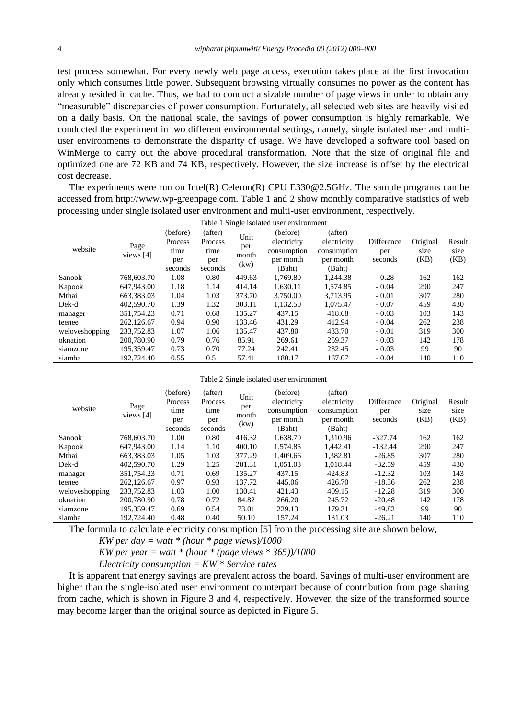test process somewhat. For every newly web page access, execution takes place at the first invocation only which consumes little power. Subsequent browsing virtually consumes no power as the content has already resided in cache. Thus, we had to conduct a sizable number of page views in order to obtain any ―measurable‖ discrepancies of power consumption. Fortunately, all selected web sites are heavily visited on a daily basis. On the national scale, the savings of power consumption is highly remarkable. We conducted the experiment in two different environmental settings, namely, single isolated user and multiuser environments to demonstrate the disparity of usage. We have developed a software tool based on WinMerge to carry out the above procedural transformation. Note that the size of original file and optimized one are 72 KB and 74 KB, respectively. However, the size increase is offset by the electrical cost decrease.

The experiments were run on Intel(R) Celeron(R) CPU E330@2.5GHz. The sample programs can be accessed from [http://www.wp-greenpage.com.](http://www.wp-greenpage.com/) Table 1 and 2 show monthly comparative statistics of web processing under single isolated user environment and multi-user environment, respectively.  $Table 1$  Single isolated

| radie i Single isolated user environment |                   |          |         |                              |             |             |            |          |        |  |
|------------------------------------------|-------------------|----------|---------|------------------------------|-------------|-------------|------------|----------|--------|--|
| website                                  | Page<br>views [4] | (before) | (after) | Unit<br>per<br>month<br>(kw) | (before)    | (after)     |            |          |        |  |
|                                          |                   | Process  | Process |                              | electricity | electricity | Difference | Original | Result |  |
|                                          |                   | time     | time    |                              | consumption | consumption | per        | size     | size   |  |
|                                          |                   | per      | per     |                              | per month   | per month   | seconds    | (KB)     | (KB)   |  |
|                                          |                   | seconds  | seconds |                              | (Baht)      | (Baht)      |            |          |        |  |
| Sanook                                   | 768,603.70        | 1.08     | 0.80    | 449.63                       | 1.769.80    | 1.244.38    | $-0.28$    | 162      | 162    |  |
| Kapook                                   | 647,943.00        | 1.18     | 1.14    | 414.14                       | 1.630.11    | 1.574.85    | $-0.04$    | 290      | 247    |  |
| Mthai                                    | 663, 383, 03      | 1.04     | 1.03    | 373.70                       | 3.750.00    | 3.713.95    | $-0.01$    | 307      | 280    |  |
| Dek-d                                    | 402,590.70        | 1.39     | 1.32    | 303.11                       | 1,132.50    | 1.075.47    | $-0.07$    | 459      | 430    |  |
| manager                                  | 351.754.23        | 0.71     | 0.68    | 135.27                       | 437.15      | 418.68      | $-0.03$    | 103      | 143    |  |
| teenee                                   | 262,126.67        | 0.94     | 0.90    | 133.46                       | 431.29      | 412.94      | $-0.04$    | 262      | 238    |  |
| weloveshopping                           | 233,752.83        | 1.07     | 1.06    | 135.47                       | 437.80      | 433.70      | $-0.01$    | 319      | 300    |  |
| oknation                                 | 200,780.90        | 0.79     | 0.76    | 85.91                        | 269.61      | 259.37      | $-0.03$    | 142      | 178    |  |
| siamzone                                 | 195.359.47        | 0.73     | 0.70    | 77.24                        | 242.41      | 232.45      | $-0.03$    | 99       | 90     |  |
| siamha                                   | 192.724.40        | 0.55     | 0.51    | 57.41                        | 180.17      | 167.07      | $-0.04$    | 140      | 110    |  |

Table 2 Single isolated user environment

| website        | Page<br>views [4] | (before) | (after) | Unit<br>per<br>month<br>(kw) | (before)    | (after)     |            |          |        |
|----------------|-------------------|----------|---------|------------------------------|-------------|-------------|------------|----------|--------|
|                |                   | Process  | Process |                              | electricity | electricity | Difference | Original | Result |
|                |                   | time     | time    |                              | consumption | consumption | per        | size     | size   |
|                |                   | per      | per     |                              | per month   | per month   | seconds    | (KB)     | (KB)   |
|                |                   | seconds  | seconds |                              | (Baht)      | (Baht)      |            |          |        |
| Sanook         | 768,603.70        | 1.00     | 0.80    | 416.32                       | 1.638.70    | 1.310.96    | $-327.74$  | 162      | 162    |
| Kapook         | 647,943.00        | 1.14     | 1.10    | 400.10                       | 1.574.85    | 1.442.41    | $-132.44$  | 290      | 247    |
| Mthai          | 663.383.03        | 1.05     | 1.03    | 377.29                       | 1.409.66    | 1.382.81    | $-26.85$   | 307      | 280    |
| Dek-d          | 402,590.70        | 1.29     | 1.25    | 281.31                       | 1.051.03    | 1.018.44    | $-32.59$   | 459      | 430    |
| manager        | 351.754.23        | 0.71     | 0.69    | 135.27                       | 437.15      | 424.83      | $-12.32$   | 103      | 143    |
| teenee         | 262,126.67        | 0.97     | 0.93    | 137.72                       | 445.06      | 426.70      | $-18.36$   | 262      | 238    |
| weloveshopping | 233,752.83        | 1.03     | 1.00    | 130.41                       | 421.43      | 409.15      | $-12.28$   | 319      | 300    |
| oknation       | 200,780.90        | 0.78     | 0.72    | 84.82                        | 266.20      | 245.72      | $-20.48$   | 142      | 178    |
| siamzone       | 195.359.47        | 0.69     | 0.54    | 73.01                        | 229.13      | 179.31      | $-49.82$   | 99       | 90     |
| siamha         | 192,724.40        | 0.48     | 0.40    | 50.10                        | 157.24      | 131.03      | $-26.21$   | 140      | 110    |

The formula to calculate electricity consumption [5] from the processing site are shown below,

*KW per day = watt \* (hour \* page views)/1000*

*KW per year = watt \* (hour \* (page views \* 365))/1000*

*Electricity consumption = KW \* Service rates*

It is apparent that energy savings are prevalent across the board. Savings of multi-user environment are higher than the single-isolated user environment counterpart because of contribution from page sharing from cache, which is shown in Figure 3 and 4, respectively. However, the size of the transformed source may become larger than the original source as depicted in Figure 5.